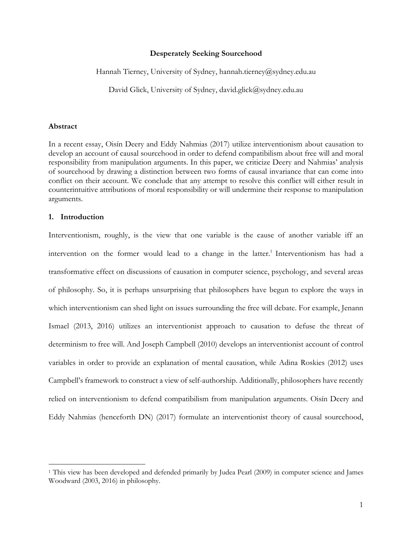### **Desperately Seeking Sourcehood**

Hannah Tierney, University of Sydney, hannah.tierney@sydney.edu.au

David Glick, University of Sydney, david.glick@sydney.edu.au

#### **Abstract**

In a recent essay, Oisín Deery and Eddy Nahmias (2017) utilize interventionism about causation to develop an account of causal sourcehood in order to defend compatibilism about free will and moral responsibility from manipulation arguments. In this paper, we criticize Deery and Nahmias' analysis of sourcehood by drawing a distinction between two forms of causal invariance that can come into conflict on their account. We conclude that any attempt to resolve this conflict will either result in counterintuitive attributions of moral responsibility or will undermine their response to manipulation arguments.

#### **1. Introduction**

Interventionism, roughly, is the view that one variable is the cause of another variable iff an intervention on the former would lead to a change in the latter.<sup>1</sup> Interventionism has had a transformative effect on discussions of causation in computer science, psychology, and several areas of philosophy. So, it is perhaps unsurprising that philosophers have begun to explore the ways in which interventionism can shed light on issues surrounding the free will debate. For example, Jenann Ismael (2013, 2016) utilizes an interventionist approach to causation to defuse the threat of determinism to free will. And Joseph Campbell (2010) develops an interventionist account of control variables in order to provide an explanation of mental causation, while Adina Roskies (2012) uses Campbell's framework to construct a view of self-authorship. Additionally, philosophers have recently relied on interventionism to defend compatibilism from manipulation arguments. Oisín Deery and Eddy Nahmias (henceforth DN) (2017) formulate an interventionist theory of causal sourcehood,

 <sup>1</sup> This view has been developed and defended primarily by Judea Pearl (2009) in computer science and James Woodward (2003, 2016) in philosophy.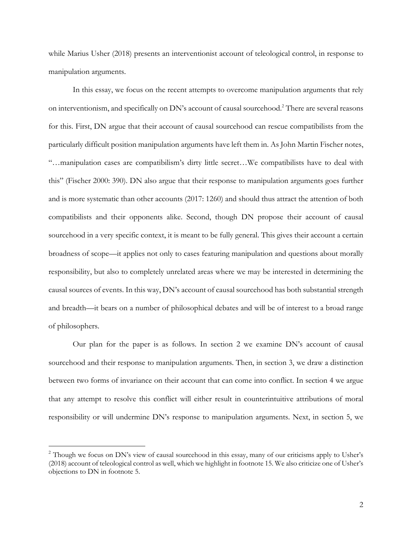while Marius Usher (2018) presents an interventionist account of teleological control, in response to manipulation arguments.

In this essay, we focus on the recent attempts to overcome manipulation arguments that rely on interventionism, and specifically on DN's account of causal sourcehood. <sup>2</sup> There are several reasons for this. First, DN argue that their account of causal sourcehood can rescue compatibilists from the particularly difficult position manipulation arguments have left them in. As John Martin Fischer notes, "…manipulation cases are compatibilism's dirty little secret…We compatibilists have to deal with this" (Fischer 2000: 390). DN also argue that their response to manipulation arguments goes further and is more systematic than other accounts (2017: 1260) and should thus attract the attention of both compatibilists and their opponents alike. Second, though DN propose their account of causal sourcehood in a very specific context, it is meant to be fully general. This gives their account a certain broadness of scope—it applies not only to cases featuring manipulation and questions about morally responsibility, but also to completely unrelated areas where we may be interested in determining the causal sources of events. In this way, DN's account of causal sourcehood has both substantial strength and breadth—it bears on a number of philosophical debates and will be of interest to a broad range of philosophers.

Our plan for the paper is as follows. In section 2 we examine DN's account of causal sourcehood and their response to manipulation arguments. Then, in section 3, we draw a distinction between two forms of invariance on their account that can come into conflict. In section 4 we argue that any attempt to resolve this conflict will either result in counterintuitive attributions of moral responsibility or will undermine DN's response to manipulation arguments. Next, in section 5, we

<sup>&</sup>lt;sup>2</sup> Though we focus on DN's view of causal sourcehood in this essay, many of our criticisms apply to Usher's (2018) account of teleological control as well, which we highlight in footnote 15. We also criticize one of Usher's objections to DN in footnote 5.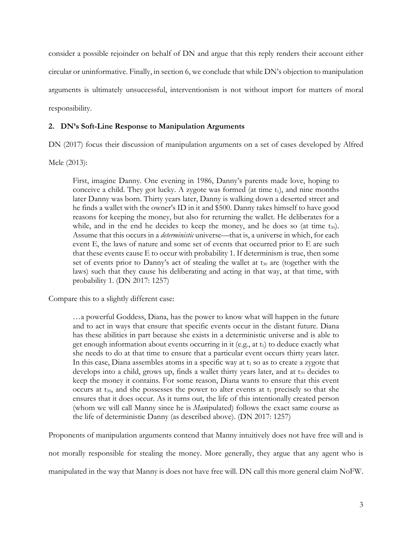consider a possible rejoinder on behalf of DN and argue that this reply renders their account either circular or uninformative. Finally, in section 6, we conclude that while DN's objection to manipulation arguments is ultimately unsuccessful, interventionism is not without import for matters of moral responsibility.

# **2. DN's Soft-Line Response to Manipulation Arguments**

DN (2017) focus their discussion of manipulation arguments on a set of cases developed by Alfred

Mele (2013):

First, imagine Danny. One evening in 1986, Danny's parents made love, hoping to conceive a child. They got lucky. A zygote was formed (at time  $t_1$ ), and nine months later Danny was born. Thirty years later, Danny is walking down a deserted street and he finds a wallet with the owner's ID in it and \$500. Danny takes himself to have good reasons for keeping the money, but also for returning the wallet. He deliberates for a while, and in the end he decides to keep the money, and he does so (at time  $t_{30}$ ). Assume that this occurs in a *deterministic* universe—that is, a universe in which, for each event E, the laws of nature and some set of events that occurred prior to E are such that these events cause E to occur with probability 1. If determinism is true, then some set of events prior to Danny's act of stealing the wallet at  $t_{30}$  are (together with the laws) such that they cause his deliberating and acting in that way, at that time, with probability 1. (DN 2017: 1257)

Compare this to a slightly different case:

…a powerful Goddess, Diana, has the power to know what will happen in the future and to act in ways that ensure that specific events occur in the distant future. Diana has these abilities in part because she exists in a deterministic universe and is able to get enough information about events occurring in it (e.g., at t<sub>1</sub>) to deduce exactly what she needs to do at that time to ensure that a particular event occurs thirty years later. In this case, Diana assembles atoms in a specific way at  $t_1$  so as to create a zygote that develops into a child, grows up, finds a wallet thirty years later, and at  $t_{30}$  decides to keep the money it contains. For some reason, Diana wants to ensure that this event occurs at  $t_{30}$ , and she possesses the power to alter events at  $t_1$  precisely so that she ensures that it does occur. As it turns out, the life of this intentionally created person (whom we will call Manny since he is *Man*ipulated) follows the exact same course as the life of deterministic Danny (as described above). (DN 2017: 1257)

Proponents of manipulation arguments contend that Manny intuitively does not have free will and is

not morally responsible for stealing the money. More generally, they argue that any agent who is

manipulated in the way that Manny is does not have free will. DN call this more general claim NoFW.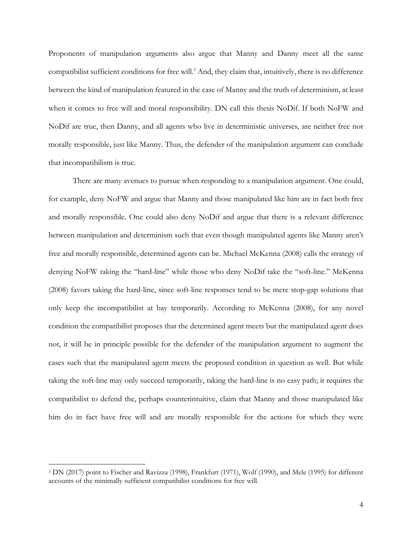Proponents of manipulation arguments also argue that Manny and Danny meet all the same compatibilist sufficient conditions for free will.<sup>3</sup> And, they claim that, intuitively, there is no difference between the kind of manipulation featured in the case of Manny and the truth of determinism, at least when it comes to free will and moral responsibility. DN call this thesis NoDif. If both NoFW and NoDif are true, then Danny, and all agents who live in deterministic universes, are neither free nor morally responsible, just like Manny. Thus, the defender of the manipulation argument can conclude that incompatibilism is true.

There are many avenues to pursue when responding to a manipulation argument. One could, for example, deny NoFW and argue that Manny and those manipulated like him are in fact both free and morally responsible. One could also deny NoDif and argue that there is a relevant difference between manipulation and determinism such that even though manipulated agents like Manny aren't free and morally responsible, determined agents can be. Michael McKenna (2008) calls the strategy of denying NoFW taking the "hard-line" while those who deny NoDif take the "soft-line." McKenna (2008) favors taking the hard-line, since soft-line responses tend to be mere stop-gap solutions that only keep the incompatibilist at bay temporarily. According to McKenna (2008), for any novel condition the compatibilist proposes that the determined agent meets but the manipulated agent does not, it will be in principle possible for the defender of the manipulation argument to augment the cases such that the manipulated agent meets the proposed condition in question as well. But while taking the soft-line may only succeed temporarily, taking the hard-line is no easy path; it requires the compatibilist to defend the, perhaps counterintuitive, claim that Manny and those manipulated like him do in fact have free will and are morally responsible for the actions for which they were

 <sup>3</sup> DN (2017) point to Fischer and Ravizza (1998), Frankfurt (1971), Wolf (1990), and Mele (1995) for different accounts of the minimally sufficient compatibilist conditions for free will.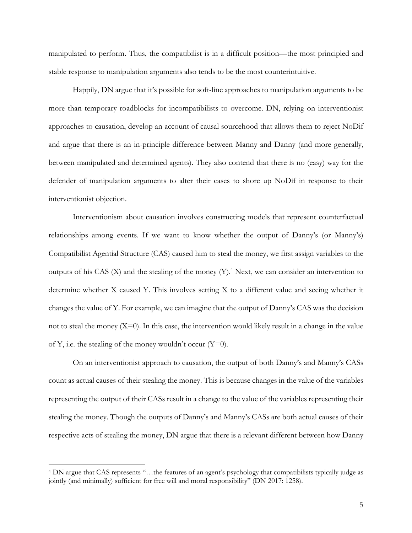manipulated to perform. Thus, the compatibilist is in a difficult position—the most principled and stable response to manipulation arguments also tends to be the most counterintuitive.

Happily, DN argue that it's possible for soft-line approaches to manipulation arguments to be more than temporary roadblocks for incompatibilists to overcome. DN, relying on interventionist approaches to causation, develop an account of causal sourcehood that allows them to reject NoDif and argue that there is an in-principle difference between Manny and Danny (and more generally, between manipulated and determined agents). They also contend that there is no (easy) way for the defender of manipulation arguments to alter their cases to shore up NoDif in response to their interventionist objection.

Interventionism about causation involves constructing models that represent counterfactual relationships among events. If we want to know whether the output of Danny's (or Manny's) Compatibilist Agential Structure (CAS) caused him to steal the money, we first assign variables to the outputs of his CAS  $(X)$  and the stealing of the money  $(Y)$ .<sup>4</sup> Next, we can consider an intervention to determine whether X caused Y. This involves setting X to a different value and seeing whether it changes the value of Y. For example, we can imagine that the output of Danny's CAS was the decision not to steal the money  $(X=0)$ . In this case, the intervention would likely result in a change in the value of Y, i.e. the stealing of the money wouldn't occur  $(Y=0)$ .

On an interventionist approach to causation, the output of both Danny's and Manny's CASs count as actual causes of their stealing the money. This is because changes in the value of the variables representing the output of their CASs result in a change to the value of the variables representing their stealing the money. Though the outputs of Danny's and Manny's CASs are both actual causes of their respective acts of stealing the money, DN argue that there is a relevant different between how Danny

 <sup>4</sup> DN argue that CAS represents "…the features of an agent's psychology that compatibilists typically judge as jointly (and minimally) sufficient for free will and moral responsibility" (DN 2017: 1258).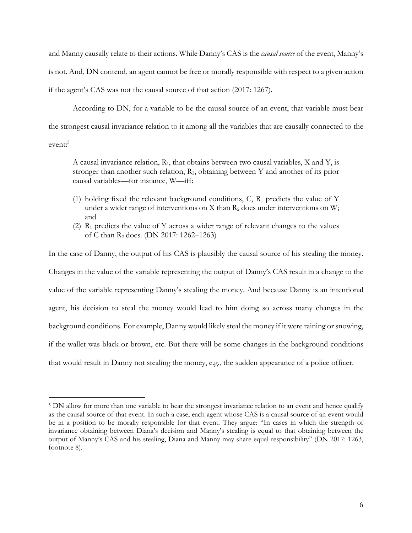and Manny causally relate to their actions. While Danny's CAS is the *causal source* of the event, Manny's is not. And, DN contend, an agent cannot be free or morally responsible with respect to a given action if the agent's CAS was not the causal source of that action (2017: 1267).

According to DN, for a variable to be the causal source of an event, that variable must bear the strongest causal invariance relation to it among all the variables that are causally connected to the event:<sup>5</sup>

A causal invariance relation,  $R_1$ , that obtains between two causal variables,  $X$  and  $Y$ , is stronger than another such relation, R2, obtaining between Y and another of its prior causal variables—for instance, W—iff:

- (1) holding fixed the relevant background conditions, C,  $R_1$  predicts the value of Y under a wider range of interventions on  $X$  than  $R_2$  does under interventions on  $W$ ; and
- (2)  $R_1$  predicts the value of Y across a wider range of relevant changes to the values of C than R2 does. (DN 2017: 1262–1263)

In the case of Danny, the output of his CAS is plausibly the causal source of his stealing the money. Changes in the value of the variable representing the output of Danny's CAS result in a change to the value of the variable representing Danny's stealing the money. And because Danny is an intentional agent, his decision to steal the money would lead to him doing so across many changes in the background conditions. For example, Danny would likely steal the money if it were raining or snowing, if the wallet was black or brown, etc. But there will be some changes in the background conditions that would result in Danny not stealing the money, e.g., the sudden appearance of a police officer.

 <sup>5</sup> DN allow for more than one variable to bear the strongest invariance relation to an event and hence qualify as the causal source of that event. In such a case, each agent whose CAS is a causal source of an event would be in a position to be morally responsible for that event. They argue: "In cases in which the strength of invariance obtaining between Diana's decision and Manny's stealing is equal to that obtaining between the output of Manny's CAS and his stealing, Diana and Manny may share equal responsibility" (DN 2017: 1263, footnote 8).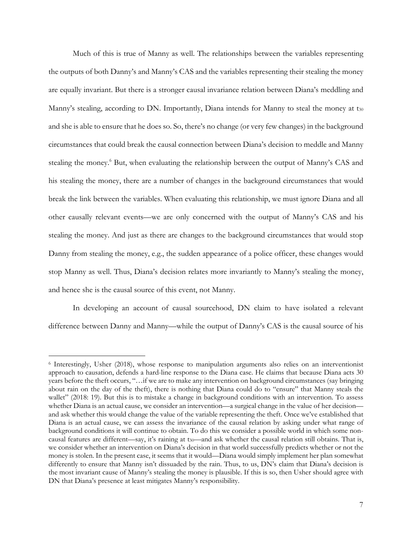Much of this is true of Manny as well. The relationships between the variables representing the outputs of both Danny's and Manny's CAS and the variables representing their stealing the money are equally invariant. But there is a stronger causal invariance relation between Diana's meddling and Manny's stealing, according to DN. Importantly, Diana intends for Manny to steal the money at t<sub>30</sub> and she is able to ensure that he does so. So, there's no change (or very few changes) in the background circumstances that could break the causal connection between Diana's decision to meddle and Manny stealing the money. <sup>6</sup> But, when evaluating the relationship between the output of Manny's CAS and his stealing the money, there are a number of changes in the background circumstances that would break the link between the variables. When evaluating this relationship, we must ignore Diana and all other causally relevant events—we are only concerned with the output of Manny's CAS and his stealing the money. And just as there are changes to the background circumstances that would stop Danny from stealing the money, e.g., the sudden appearance of a police officer, these changes would stop Manny as well. Thus, Diana's decision relates more invariantly to Manny's stealing the money, and hence she is the causal source of this event, not Manny.

In developing an account of causal sourcehood, DN claim to have isolated a relevant difference between Danny and Manny—while the output of Danny's CAS is the causal source of his

 <sup>6</sup> Interestingly, Usher (2018), whose response to manipulation arguments also relies on an interventionist approach to causation, defends a hard-line response to the Diana case. He claims that because Diana acts 30 years before the theft occurs, "…if we are to make any intervention on background circumstances (say bringing about rain on the day of the theft), there is nothing that Diana could do to "ensure" that Manny steals the wallet" (2018: 19). But this is to mistake a change in background conditions with an intervention. To assess whether Diana is an actual cause, we consider an intervention—a surgical change in the value of her decision and ask whether this would change the value of the variable representing the theft. Once we've established that Diana is an actual cause, we can assess the invariance of the causal relation by asking under what range of background conditions it will continue to obtain. To do this we consider a possible world in which some noncausal features are different—say, it's raining at  $t_{30}$ —and ask whether the causal relation still obtains. That is, we consider whether an intervention on Diana's decision in that world successfully predicts whether or not the money is stolen. In the present case, it seems that it would—Diana would simply implement her plan somewhat differently to ensure that Manny isn't dissuaded by the rain. Thus, to us, DN's claim that Diana's decision is the most invariant cause of Manny's stealing the money is plausible. If this is so, then Usher should agree with DN that Diana's presence at least mitigates Manny's responsibility.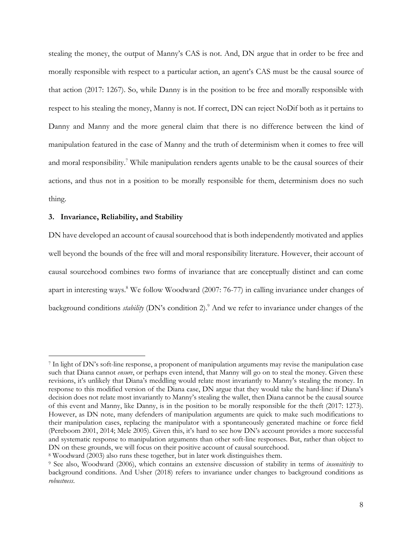stealing the money, the output of Manny's CAS is not. And, DN argue that in order to be free and morally responsible with respect to a particular action, an agent's CAS must be the causal source of that action (2017: 1267). So, while Danny is in the position to be free and morally responsible with respect to his stealing the money, Manny is not. If correct, DN can reject NoDif both as it pertains to Danny and Manny and the more general claim that there is no difference between the kind of manipulation featured in the case of Manny and the truth of determinism when it comes to free will and moral responsibility.<sup>7</sup> While manipulation renders agents unable to be the causal sources of their actions, and thus not in a position to be morally responsible for them, determinism does no such thing.

#### **3. Invariance, Reliability, and Stability**

DN have developed an account of causal sourcehood that is both independently motivated and applies well beyond the bounds of the free will and moral responsibility literature. However, their account of causal sourcehood combines two forms of invariance that are conceptually distinct and can come apart in interesting ways.<sup>8</sup> We follow Woodward (2007: 76-77) in calling invariance under changes of background conditions *stability* (DN's condition 2).<sup>9</sup> And we refer to invariance under changes of the

 <sup>7</sup> In light of DN's soft-line response, a proponent of manipulation arguments may revise the manipulation case such that Diana cannot *ensure*, or perhaps even intend, that Manny will go on to steal the money. Given these revisions, it's unlikely that Diana's meddling would relate most invariantly to Manny's stealing the money. In response to this modified version of the Diana case, DN argue that they would take the hard-line: if Diana's decision does not relate most invariantly to Manny's stealing the wallet, then Diana cannot be the causal source of this event and Manny, like Danny, is in the position to be morally responsible for the theft (2017: 1273). However, as DN note, many defenders of manipulation arguments are quick to make such modifications to their manipulation cases, replacing the manipulator with a spontaneously generated machine or force field (Pereboom 2001, 2014; Mele 2005). Given this, it's hard to see how DN's account provides a more successful and systematic response to manipulation arguments than other soft-line responses. But, rather than object to DN on these grounds, we will focus on their positive account of causal sourcehood. 8 Woodward (2003) also runs these together, but in later work distinguishes them.

<sup>9</sup> See also, Woodward (2006), which contains an extensive discussion of stability in terms of *insensitivity* to background conditions. And Usher (2018) refers to invariance under changes to background conditions as *robustness*.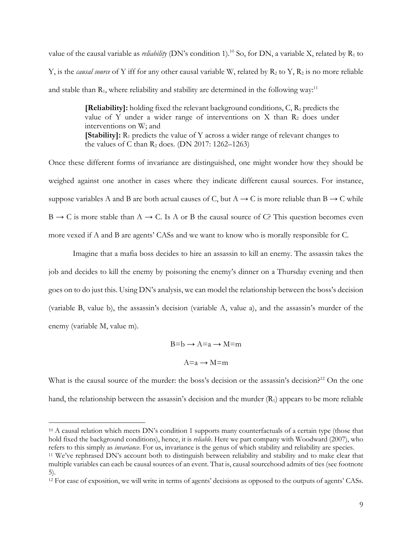value of the causal variable as *reliability* (DN's condition 1).<sup>10</sup> So, for DN, a variable X, related by R<sub>1</sub> to Y, is the *causal source* of Y iff for any other causal variable W, related by R<sub>2</sub> to Y, R<sub>2</sub> is no more reliable and stable than  $R_1$ , where reliability and stability are determined in the following way:<sup>11</sup>

> **[Reliability]:** holding fixed the relevant background conditions, C, R<sub>1</sub> predicts the value of Y under a wider range of interventions on X than  $R_2$  does under interventions on W; and **[Stability]:**  $R_1$  predicts the value of Y across a wider range of relevant changes to the values of C than  $R_2$  does. (DN 2017: 1262–1263)

Once these different forms of invariance are distinguished, one might wonder how they should be weighed against one another in cases where they indicate different causal sources. For instance, suppose variables A and B are both actual causes of C, but  $A \rightarrow C$  is more reliable than  $B \rightarrow C$  while  $B \to C$  is more stable than A  $\to C$ . Is A or B the causal source of C? This question becomes even more vexed if A and B are agents' CASs and we want to know who is morally responsible for C.

Imagine that a mafia boss decides to hire an assassin to kill an enemy. The assassin takes the job and decides to kill the enemy by poisoning the enemy's dinner on a Thursday evening and then goes on to do just this. Using DN's analysis, we can model the relationship between the boss's decision (variable B, value b), the assassin's decision (variable A, value a), and the assassin's murder of the enemy (variable M, value m).

$$
B=b \to A=a \to M=m
$$

 $A=a \rightarrow M=m$ 

What is the causal source of the murder: the boss's decision or the assassin's decision?<sup>12</sup> On the one hand, the relationship between the assassin's decision and the murder  $(R_1)$  appears to be more reliable

<sup>&</sup>lt;sup>10</sup> A causal relation which meets DN's condition 1 supports many counterfactuals of a certain type (those that hold fixed the background conditions), hence, it is *reliable*. Here we part company with Woodward (2007), who refers to this simply as *invariance*. For us, invariance is the genus of which stability and reliability are species.

<sup>11</sup> We've rephrased DN's account both to distinguish between reliability and stability and to make clear that multiple variables can each be causal sources of an event. That is, causal sourcehood admits of ties (see footnote 5).

<sup>12</sup> For ease of exposition, we will write in terms of agents' decisions as opposed to the outputs of agents' CASs.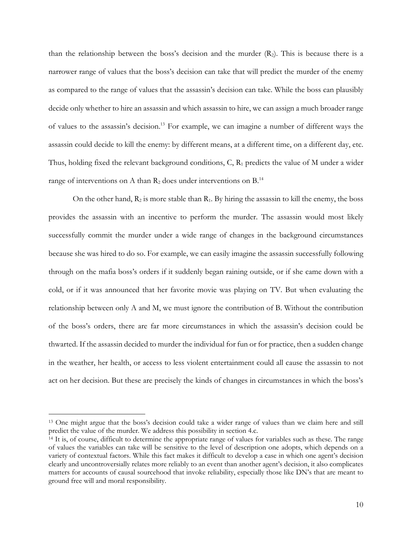than the relationship between the boss's decision and the murder  $(R_2)$ . This is because there is a narrower range of values that the boss's decision can take that will predict the murder of the enemy as compared to the range of values that the assassin's decision can take. While the boss can plausibly decide only whether to hire an assassin and which assassin to hire, we can assign a much broader range of values to the assassin's decision.13 For example, we can imagine a number of different ways the assassin could decide to kill the enemy: by different means, at a different time, on a different day, etc. Thus, holding fixed the relevant background conditions,  $C$ ,  $R_1$  predicts the value of M under a wider range of interventions on A than  $R_2$  does under interventions on  $B<sup>14</sup>$ .

On the other hand,  $R_2$  is more stable than  $R_1$ . By hiring the assassin to kill the enemy, the boss provides the assassin with an incentive to perform the murder. The assassin would most likely successfully commit the murder under a wide range of changes in the background circumstances because she was hired to do so. For example, we can easily imagine the assassin successfully following through on the mafia boss's orders if it suddenly began raining outside, or if she came down with a cold, or if it was announced that her favorite movie was playing on TV. But when evaluating the relationship between only A and M, we must ignore the contribution of B. Without the contribution of the boss's orders, there are far more circumstances in which the assassin's decision could be thwarted. If the assassin decided to murder the individual for fun or for practice, then a sudden change in the weather, her health, or access to less violent entertainment could all cause the assassin to not act on her decision. But these are precisely the kinds of changes in circumstances in which the boss's

 <sup>13</sup> One might argue that the boss's decision could take a wider range of values than we claim here and still predict the value of the murder. We address this possibility in section 4.c.

<sup>&</sup>lt;sup>14</sup> It is, of course, difficult to determine the appropriate range of values for variables such as these. The range of values the variables can take will be sensitive to the level of description one adopts, which depends on a variety of contextual factors. While this fact makes it difficult to develop a case in which one agent's decision clearly and uncontroversially relates more reliably to an event than another agent's decision, it also complicates matters for accounts of causal sourcehood that invoke reliability, especially those like DN's that are meant to ground free will and moral responsibility.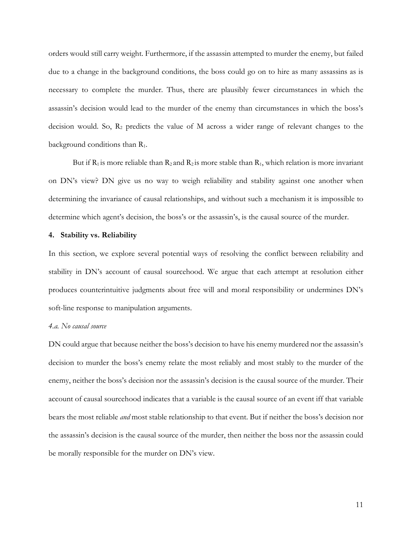orders would still carry weight. Furthermore, if the assassin attempted to murder the enemy, but failed due to a change in the background conditions, the boss could go on to hire as many assassins as is necessary to complete the murder. Thus, there are plausibly fewer circumstances in which the assassin's decision would lead to the murder of the enemy than circumstances in which the boss's decision would. So,  $R_2$  predicts the value of M across a wider range of relevant changes to the background conditions than R<sub>1</sub>.

But if  $R_1$  is more reliable than  $R_2$  and  $R_2$  is more stable than  $R_1$ , which relation is more invariant on DN's view? DN give us no way to weigh reliability and stability against one another when determining the invariance of causal relationships, and without such a mechanism it is impossible to determine which agent's decision, the boss's or the assassin's, is the causal source of the murder.

#### **4. Stability vs. Reliability**

In this section, we explore several potential ways of resolving the conflict between reliability and stability in DN's account of causal sourcehood. We argue that each attempt at resolution either produces counterintuitive judgments about free will and moral responsibility or undermines DN's soft-line response to manipulation arguments.

## *4.a. No causal source*

DN could argue that because neither the boss's decision to have his enemy murdered nor the assassin's decision to murder the boss's enemy relate the most reliably and most stably to the murder of the enemy, neither the boss's decision nor the assassin's decision is the causal source of the murder. Their account of causal sourcehood indicates that a variable is the causal source of an event iff that variable bears the most reliable *and* most stable relationship to that event. But if neither the boss's decision nor the assassin's decision is the causal source of the murder, then neither the boss nor the assassin could be morally responsible for the murder on DN's view.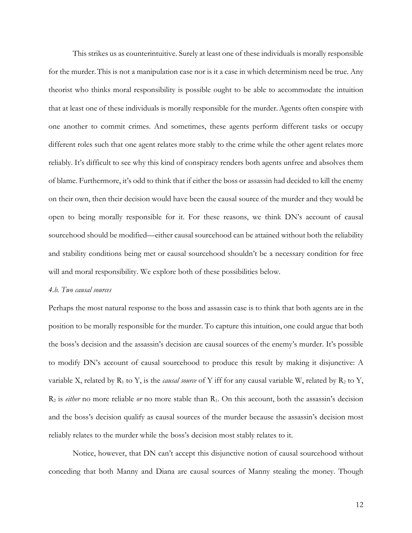This strikes us as counterintuitive. Surely at least one of these individuals is morally responsible for the murder.This is not a manipulation case nor is it a case in which determinism need be true. Any theorist who thinks moral responsibility is possible ought to be able to accommodate the intuition that at least one of these individuals is morally responsible for the murder.Agents often conspire with one another to commit crimes. And sometimes, these agents perform different tasks or occupy different roles such that one agent relates more stably to the crime while the other agent relates more reliably. It's difficult to see why this kind of conspiracy renders both agents unfree and absolves them of blame. Furthermore, it's odd to think that if either the boss or assassin had decided to kill the enemy on their own, then their decision would have been the causal source of the murder and they would be open to being morally responsible for it. For these reasons, we think DN's account of causal sourcehood should be modified—either causal sourcehood can be attained without both the reliability and stability conditions being met or causal sourcehood shouldn't be a necessary condition for free will and moral responsibility. We explore both of these possibilities below.

#### *4.b. Two causal sources*

Perhaps the most natural response to the boss and assassin case is to think that both agents are in the position to be morally responsible for the murder. To capture this intuition, one could argue that both the boss's decision and the assassin's decision are causal sources of the enemy's murder. It's possible to modify DN's account of causal sourcehood to produce this result by making it disjunctive: A variable X, related by  $R_1$  to Y, is the *causal source* of Y iff for any causal variable W, related by  $R_2$  to Y, R<sub>2</sub> is *either* no more reliable *or* no more stable than R<sub>1</sub>. On this account, both the assassin's decision and the boss's decision qualify as causal sources of the murder because the assassin's decision most reliably relates to the murder while the boss's decision most stably relates to it.

Notice, however, that DN can't accept this disjunctive notion of causal sourcehood without conceding that both Manny and Diana are causal sources of Manny stealing the money. Though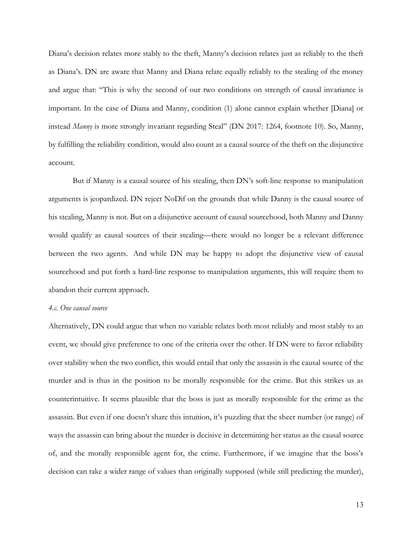Diana's decision relates more stably to the theft, Manny's decision relates just as reliably to the theft as Diana's. DN are aware that Manny and Diana relate equally reliably to the stealing of the money and argue that: "This is why the second of our two conditions on strength of causal invariance is important. In the case of Diana and Manny, condition (1) alone cannot explain whether [Diana] or instead *Manny* is more strongly invariant regarding Steal" (DN 2017: 1264, footnote 10). So, Manny, by fulfilling the reliability condition, would also count as a causal source of the theft on the disjunctive account.

But if Manny is a causal source of his stealing, then DN's soft-line response to manipulation arguments is jeopardized. DN reject NoDif on the grounds that while Danny is the causal source of his stealing, Manny is not. But on a disjunctive account of causal sourcehood, both Manny and Danny would qualify as causal sources of their stealing—there would no longer be a relevant difference between the two agents. And while DN may be happy to adopt the disjunctive view of causal sourcehood and put forth a hard-line response to manipulation arguments, this will require them to abandon their current approach.

#### *4.c. One causal source*

Alternatively, DN could argue that when no variable relates both most reliably and most stably to an event, we should give preference to one of the criteria over the other. If DN were to favor reliability over stability when the two conflict, this would entail that only the assassin is the causal source of the murder and is thus in the position to be morally responsible for the crime. But this strikes us as counterintuitive. It seems plausible that the boss is just as morally responsible for the crime as the assassin. But even if one doesn't share this intuition, it's puzzling that the sheer number (or range) of ways the assassin can bring about the murder is decisive in determining her status as the causal source of, and the morally responsible agent for, the crime. Furthermore, if we imagine that the boss's decision can take a wider range of values than originally supposed (while still predicting the murder),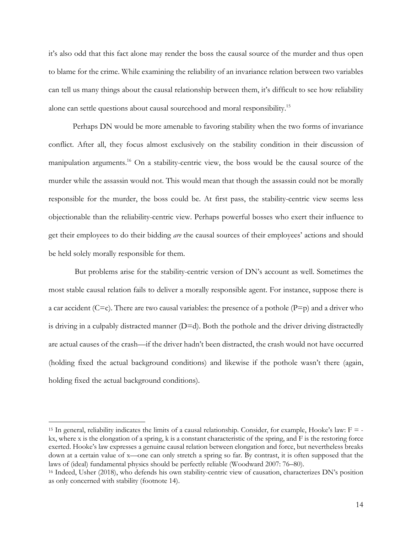it's also odd that this fact alone may render the boss the causal source of the murder and thus open to blame for the crime. While examining the reliability of an invariance relation between two variables can tell us many things about the causal relationship between them, it's difficult to see how reliability alone can settle questions about causal sourcehood and moral responsibility.15

Perhaps DN would be more amenable to favoring stability when the two forms of invariance conflict. After all, they focus almost exclusively on the stability condition in their discussion of manipulation arguments.<sup>16</sup> On a stability-centric view, the boss would be the causal source of the murder while the assassin would not. This would mean that though the assassin could not be morally responsible for the murder, the boss could be. At first pass, the stability-centric view seems less objectionable than the reliability-centric view. Perhaps powerful bosses who exert their influence to get their employees to do their bidding *are* the causal sources of their employees' actions and should be held solely morally responsible for them.

But problems arise for the stability-centric version of DN's account as well. Sometimes the most stable causal relation fails to deliver a morally responsible agent. For instance, suppose there is a car accident (C=c). There are two causal variables: the presence of a pothole (P=p) and a driver who is driving in a culpably distracted manner  $(D=d)$ . Both the pothole and the driver driving distractedly are actual causes of the crash—if the driver hadn't been distracted, the crash would not have occurred (holding fixed the actual background conditions) and likewise if the pothole wasn't there (again, holding fixed the actual background conditions).

<sup>&</sup>lt;sup>15</sup> In general, reliability indicates the limits of a causal relationship. Consider, for example, Hooke's law:  $F =$ kx, where x is the elongation of a spring, k is a constant characteristic of the spring, and F is the restoring force exerted. Hooke's law expresses a genuine causal relation between elongation and force, but nevertheless breaks down at a certain value of x—one can only stretch a spring so far. By contrast, it is often supposed that the laws of (ideal) fundamental physics should be perfectly reliable (Woodward 2007: 76–80).

<sup>16</sup> Indeed, Usher (2018), who defends his own stability-centric view of causation, characterizes DN's position as only concerned with stability (footnote 14).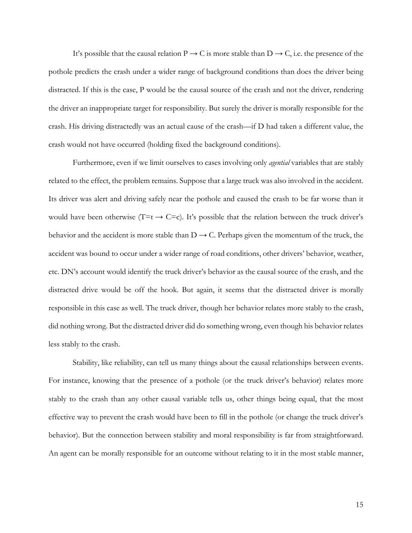It's possible that the causal relation  $P \to C$  is more stable than  $D \to C$ , i.e. the presence of the pothole predicts the crash under a wider range of background conditions than does the driver being distracted. If this is the case, P would be the causal source of the crash and not the driver, rendering the driver an inappropriate target for responsibility. But surely the driver is morally responsible for the crash. His driving distractedly was an actual cause of the crash—if D had taken a different value, the crash would not have occurred (holding fixed the background conditions).

Furthermore, even if we limit ourselves to cases involving only *agential* variables that are stably related to the effect, the problem remains. Suppose that a large truck was also involved in the accident. Its driver was alert and driving safely near the pothole and caused the crash to be far worse than it would have been otherwise ( $T=t \rightarrow C=c$ ). It's possible that the relation between the truck driver's behavior and the accident is more stable than  $D \rightarrow C$ . Perhaps given the momentum of the truck, the accident was bound to occur under a wider range of road conditions, other drivers' behavior, weather, etc. DN's account would identify the truck driver's behavior as the causal source of the crash, and the distracted drive would be off the hook. But again, it seems that the distracted driver is morally responsible in this case as well. The truck driver, though her behavior relates more stably to the crash, did nothing wrong. But the distracted driver did do something wrong, even though his behavior relates less stably to the crash.

Stability, like reliability, can tell us many things about the causal relationships between events. For instance, knowing that the presence of a pothole (or the truck driver's behavior) relates more stably to the crash than any other causal variable tells us, other things being equal, that the most effective way to prevent the crash would have been to fill in the pothole (or change the truck driver's behavior). But the connection between stability and moral responsibility is far from straightforward. An agent can be morally responsible for an outcome without relating to it in the most stable manner,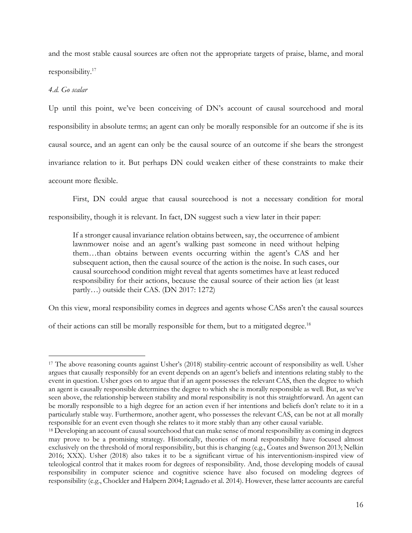and the most stable causal sources are often not the appropriate targets of praise, blame, and moral responsibility.17

# *4.d. Go scalar*

Up until this point, we've been conceiving of DN's account of causal sourcehood and moral responsibility in absolute terms; an agent can only be morally responsible for an outcome if she is its causal source, and an agent can only be the causal source of an outcome if she bears the strongest invariance relation to it. But perhaps DN could weaken either of these constraints to make their account more flexible.

First, DN could argue that causal sourcehood is not a necessary condition for moral responsibility, though it is relevant. In fact, DN suggest such a view later in their paper:

If a stronger causal invariance relation obtains between, say, the occurrence of ambient lawnmower noise and an agent's walking past someone in need without helping them…than obtains between events occurring within the agent's CAS and her subsequent action, then the causal source of the action is the noise. In such cases, our causal sourcehood condition might reveal that agents sometimes have at least reduced responsibility for their actions, because the causal source of their action lies (at least partly…) outside their CAS. (DN 2017: 1272)

On this view, moral responsibility comes in degrees and agents whose CASs aren't the causal sources

of their actions can still be morally responsible for them, but to a mitigated degree.<sup>18</sup>

<sup>&</sup>lt;sup>17</sup> The above reasoning counts against Usher's (2018) stability-centric account of responsibility as well. Usher argues that causally responsibly for an event depends on an agent's beliefs and intentions relating stably to the event in question. Usher goes on to argue that if an agent possesses the relevant CAS, then the degree to which an agent is causally responsible determines the degree to which she is morally responsible as well. But, as we've seen above, the relationship between stability and moral responsibility is not this straightforward. An agent can be morally responsible to a high degree for an action even if her intentions and beliefs don't relate to it in a particularly stable way. Furthermore, another agent, who possesses the relevant CAS, can be not at all morally responsible for an event even though she relates to it more stably than any other causal variable.

<sup>&</sup>lt;sup>18</sup> Developing an account of causal sourcehood that can make sense of moral responsibility as coming in degrees may prove to be a promising strategy. Historically, theories of moral responsibility have focused almost exclusively on the threshold of moral responsibility, but this is changing (e.g., Coates and Swenson 2013; Nelkin 2016; XXX). Usher (2018) also takes it to be a significant virtue of his interventionism-inspired view of teleological control that it makes room for degrees of responsibility. And, those developing models of causal responsibility in computer science and cognitive science have also focused on modeling degrees of responsibility (e.g., Chockler and Halpern 2004; Lagnado et al. 2014). However, these latter accounts are careful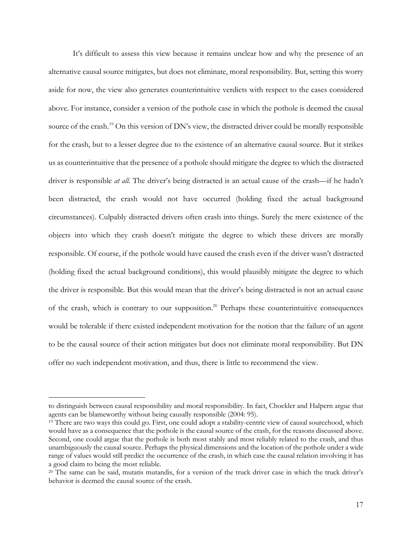It's difficult to assess this view because it remains unclear how and why the presence of an alternative causal source mitigates, but does not eliminate, moral responsibility. But, setting this worry aside for now, the view also generates counterintuitive verdicts with respect to the cases considered above. For instance, consider a version of the pothole case in which the pothole is deemed the causal source of the crash.<sup>19</sup> On this version of DN's view, the distracted driver could be morally responsible for the crash, but to a lesser degree due to the existence of an alternative causal source. But it strikes us as counterintuitive that the presence of a pothole should mitigate the degree to which the distracted driver is responsible *at all.* The driver's being distracted is an actual cause of the crash—if he hadn't been distracted, the crash would not have occurred (holding fixed the actual background circumstances). Culpably distracted drivers often crash into things. Surely the mere existence of the objects into which they crash doesn't mitigate the degree to which these drivers are morally responsible. Of course, if the pothole would have caused the crash even if the driver wasn't distracted (holding fixed the actual background conditions), this would plausibly mitigate the degree to which the driver is responsible. But this would mean that the driver's being distracted is not an actual cause of the crash, which is contrary to our supposition.<sup>20</sup> Perhaps these counterintuitive consequences would be tolerable if there existed independent motivation for the notion that the failure of an agent to be the causal source of their action mitigates but does not eliminate moral responsibility. But DN offer no such independent motivation, and thus, there is little to recommend the view.

 $\overline{a}$ 

to distinguish between causal responsibility and moral responsibility. In fact, Chockler and Halpern argue that agents can be blameworthy without being causally responsible (2004: 95).

<sup>&</sup>lt;sup>19</sup> There are two ways this could go. First, one could adopt a stability-centric view of causal sourcehood, which would have as a consequence that the pothole is the causal source of the crash, for the reasons discussed above. Second, one could argue that the pothole is both most stably and most reliably related to the crash, and thus unambiguously the causal source. Perhaps the physical dimensions and the location of the pothole under a wide range of values would still predict the occurrence of the crash, in which case the causal relation involving it has a good claim to being the most reliable. 20 The same can be said, mutatis mutandis, for a version of the truck driver case in which the truck driver's

behavior is deemed the causal source of the crash.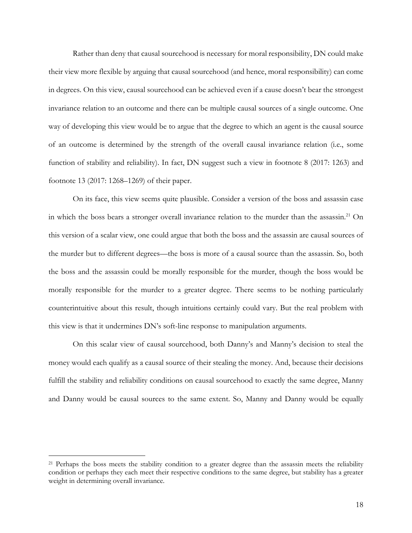Rather than deny that causal sourcehood is necessary for moral responsibility, DN could make their view more flexible by arguing that causal sourcehood (and hence, moral responsibility) can come in degrees. On this view, causal sourcehood can be achieved even if a cause doesn't bear the strongest invariance relation to an outcome and there can be multiple causal sources of a single outcome. One way of developing this view would be to argue that the degree to which an agent is the causal source of an outcome is determined by the strength of the overall causal invariance relation (i.e., some function of stability and reliability). In fact, DN suggest such a view in footnote 8 (2017: 1263) and footnote 13 (2017: 1268–1269) of their paper.

On its face, this view seems quite plausible. Consider a version of the boss and assassin case in which the boss bears a stronger overall invariance relation to the murder than the assassin.<sup>21</sup> On this version of a scalar view, one could argue that both the boss and the assassin are causal sources of the murder but to different degrees—the boss is more of a causal source than the assassin. So, both the boss and the assassin could be morally responsible for the murder, though the boss would be morally responsible for the murder to a greater degree. There seems to be nothing particularly counterintuitive about this result, though intuitions certainly could vary. But the real problem with this view is that it undermines DN's soft-line response to manipulation arguments.

On this scalar view of causal sourcehood, both Danny's and Manny's decision to steal the money would each qualify as a causal source of their stealing the money. And, because their decisions fulfill the stability and reliability conditions on causal sourcehood to exactly the same degree, Manny and Danny would be causal sources to the same extent. So, Manny and Danny would be equally

<sup>&</sup>lt;sup>21</sup> Perhaps the boss meets the stability condition to a greater degree than the assassin meets the reliability condition or perhaps they each meet their respective conditions to the same degree, but stability has a greater weight in determining overall invariance.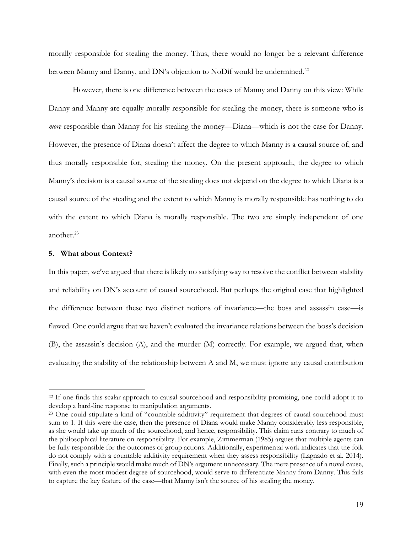morally responsible for stealing the money. Thus, there would no longer be a relevant difference between Manny and Danny, and DN's objection to NoDif would be undermined.<sup>22</sup>

However, there is one difference between the cases of Manny and Danny on this view: While Danny and Manny are equally morally responsible for stealing the money, there is someone who is *more* responsible than Manny for his stealing the money—Diana—which is not the case for Danny. However, the presence of Diana doesn't affect the degree to which Manny is a causal source of, and thus morally responsible for, stealing the money. On the present approach, the degree to which Manny's decision is a causal source of the stealing does not depend on the degree to which Diana is a causal source of the stealing and the extent to which Manny is morally responsible has nothing to do with the extent to which Diana is morally responsible. The two are simply independent of one another.23

## **5. What about Context?**

In this paper, we've argued that there is likely no satisfying way to resolve the conflict between stability and reliability on DN's account of causal sourcehood. But perhaps the original case that highlighted the difference between these two distinct notions of invariance—the boss and assassin case—is flawed. One could argue that we haven't evaluated the invariance relations between the boss's decision (B), the assassin's decision (A), and the murder (M) correctly. For example, we argued that, when evaluating the stability of the relationship between A and M, we must ignore any causal contribution

<sup>&</sup>lt;sup>22</sup> If one finds this scalar approach to causal sourcehood and responsibility promising, one could adopt it to develop a hard-line response to manipulation arguments.

<sup>23</sup> One could stipulate a kind of "countable additivity" requirement that degrees of causal sourcehood must sum to 1. If this were the case, then the presence of Diana would make Manny considerably less responsible, as she would take up much of the sourcehood, and hence, responsibility. This claim runs contrary to much of the philosophical literature on responsibility. For example, Zimmerman (1985) argues that multiple agents can be fully responsible for the outcomes of group actions. Additionally, experimental work indicates that the folk do not comply with a countable additivity requirement when they assess responsibility (Lagnado et al. 2014). Finally, such a principle would make much of DN's argument unnecessary. The mere presence of a novel cause, with even the most modest degree of sourcehood, would serve to differentiate Manny from Danny. This fails to capture the key feature of the case—that Manny isn't the source of his stealing the money.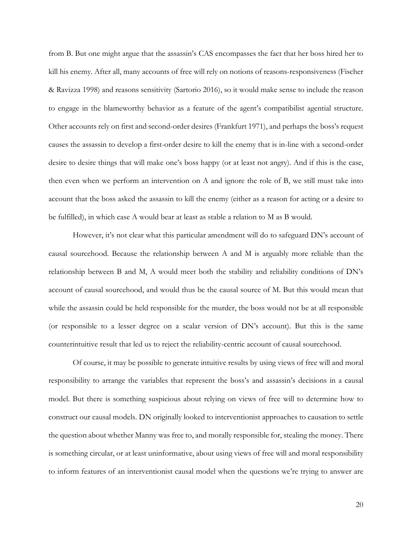from B. But one might argue that the assassin's CAS encompasses the fact that her boss hired her to kill his enemy. After all, many accounts of free will rely on notions of reasons-responsiveness (Fischer & Ravizza 1998) and reasons sensitivity (Sartorio 2016), so it would make sense to include the reason to engage in the blameworthy behavior as a feature of the agent's compatibilist agential structure. Other accounts rely on first and second-order desires (Frankfurt 1971), and perhaps the boss's request causes the assassin to develop a first-order desire to kill the enemy that is in-line with a second-order desire to desire things that will make one's boss happy (or at least not angry). And if this is the case, then even when we perform an intervention on A and ignore the role of B, we still must take into account that the boss asked the assassin to kill the enemy (either as a reason for acting or a desire to be fulfilled), in which case A would bear at least as stable a relation to M as B would.

However, it's not clear what this particular amendment will do to safeguard DN's account of causal sourcehood. Because the relationship between A and M is arguably more reliable than the relationship between B and M, A would meet both the stability and reliability conditions of DN's account of causal sourcehood, and would thus be the causal source of M. But this would mean that while the assassin could be held responsible for the murder, the boss would not be at all responsible (or responsible to a lesser degree on a scalar version of DN's account). But this is the same counterintuitive result that led us to reject the reliability-centric account of causal sourcehood.

Of course, it may be possible to generate intuitive results by using views of free will and moral responsibility to arrange the variables that represent the boss's and assassin's decisions in a causal model. But there is something suspicious about relying on views of free will to determine how to construct our causal models. DN originally looked to interventionist approaches to causation to settle the question about whether Manny was free to, and morally responsible for, stealing the money. There is something circular, or at least uninformative, about using views of free will and moral responsibility to inform features of an interventionist causal model when the questions we're trying to answer are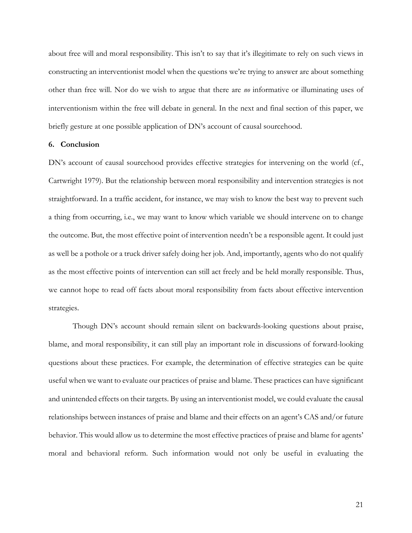about free will and moral responsibility. This isn't to say that it's illegitimate to rely on such views in constructing an interventionist model when the questions we're trying to answer are about something other than free will. Nor do we wish to argue that there are *no* informative or illuminating uses of interventionism within the free will debate in general. In the next and final section of this paper, we briefly gesture at one possible application of DN's account of causal sourcehood.

### **6. Conclusion**

DN's account of causal sourcehood provides effective strategies for intervening on the world (cf., Cartwright 1979). But the relationship between moral responsibility and intervention strategies is not straightforward. In a traffic accident, for instance, we may wish to know the best way to prevent such a thing from occurring, i.e., we may want to know which variable we should intervene on to change the outcome. But, the most effective point of intervention needn't be a responsible agent. It could just as well be a pothole or a truck driver safely doing her job. And, importantly, agents who do not qualify as the most effective points of intervention can still act freely and be held morally responsible. Thus, we cannot hope to read off facts about moral responsibility from facts about effective intervention strategies.

Though DN's account should remain silent on backwards-looking questions about praise, blame, and moral responsibility, it can still play an important role in discussions of forward-looking questions about these practices. For example, the determination of effective strategies can be quite useful when we want to evaluate our practices of praise and blame. These practices can have significant and unintended effects on their targets. By using an interventionist model, we could evaluate the causal relationships between instances of praise and blame and their effects on an agent's CAS and/or future behavior. This would allow us to determine the most effective practices of praise and blame for agents' moral and behavioral reform. Such information would not only be useful in evaluating the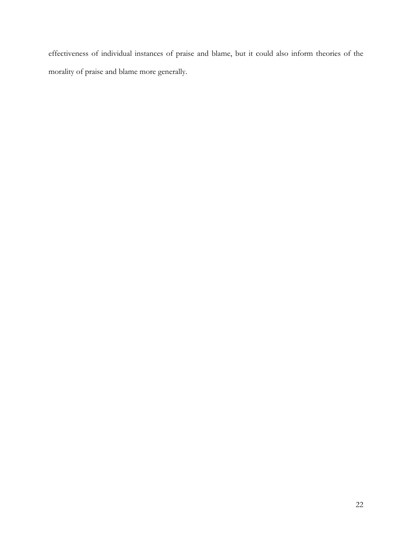effectiveness of individual instances of praise and blame, but it could also inform theories of the morality of praise and blame more generally.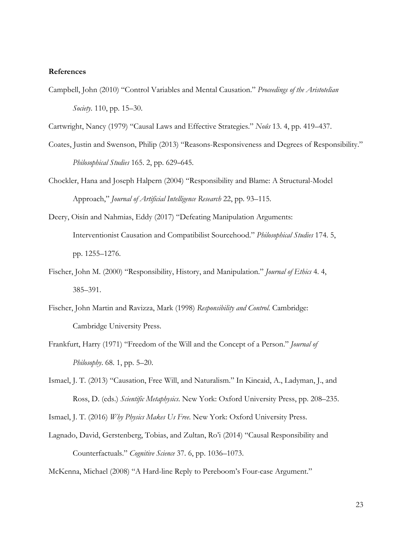# **References**

Campbell, John (2010) "Control Variables and Mental Causation." *Proceedings of the Aristotelian Society*. 110, pp. 15–30.

Cartwright, Nancy (1979) "Causal Laws and Effective Strategies." *Noûs* 13. 4, pp. 419–437.

- Coates, Justin and Swenson, Philip (2013) "Reasons-Responsiveness and Degrees of Responsibility." *Philosophical Studies* 165. 2, pp. 629–645.
- Chockler, Hana and Joseph Halpern (2004) "Responsibility and Blame: A Structural-Model Approach," *Journal of Artificial Intelligence Research* 22, pp. 93–115.
- Deery, Oisín and Nahmias, Eddy (2017) "Defeating Manipulation Arguments: Interventionist Causation and Compatibilist Sourcehood." *Philosophical Studies* 174. 5, pp. 1255–1276.
- Fischer, John M. (2000) "Responsibility, History, and Manipulation." *Journal of Ethics* 4. 4, 385–391.
- Fischer, John Martin and Ravizza, Mark (1998) *Responsibility and Control*. Cambridge: Cambridge University Press.
- Frankfurt, Harry (1971) "Freedom of the Will and the Concept of a Person." *Journal of Philosophy*. 68. 1, pp. 5–20.
- Ismael, J. T. (2013) "Causation, Free Will, and Naturalism." In Kincaid, A., Ladyman, J., and Ross, D. (eds.) *Scientific Metaphysics*. New York: Oxford University Press, pp. 208–235.

Ismael, J. T. (2016) *Why Physics Makes Us Free*. New York: Oxford University Press.

Lagnado, David, Gerstenberg, Tobias, and Zultan, Ro'i (2014) "Causal Responsibility and Counterfactuals." *Cognitive Science* 37. 6, pp. 1036–1073.

McKenna, Michael (2008) "A Hard-line Reply to Pereboom's Four-case Argument."